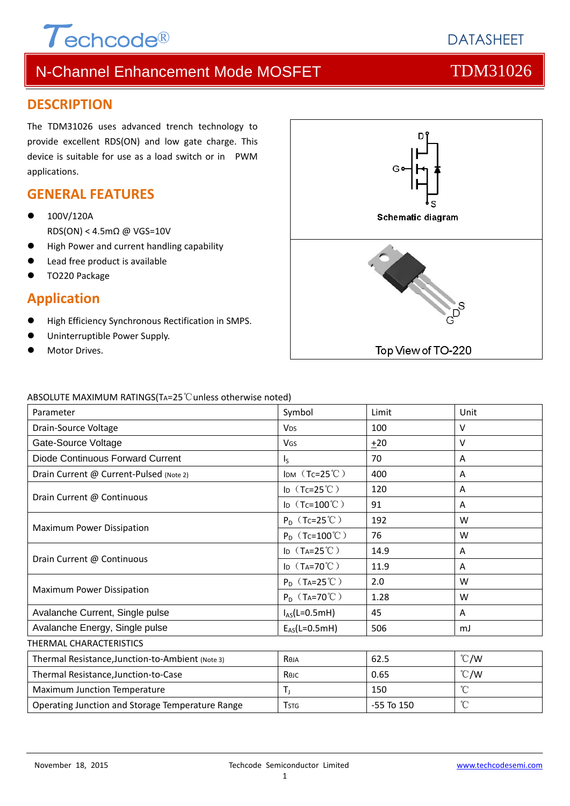

### **DESCRIPTION**

The TDM31026 uses advanced trench technology to provide excellent RDS(ON) and low gate charge. This device is suitable for use as a load switch or in PWM applications.

### **GENERAL FEATURES**

- 100V/120A RDS(ON) < 4.5mΩ @ VGS=10V
- High Power and current handling capability
- Lead free product is available
- TO220 Package

#### **Application**

- High Efficiency Synchronous Rectification in SMPS.
- Uninterruptible Power Supply.
- Motor Drives.



#### ABSOLUTE MAXIMUM RATINGS(TA=25℃unless otherwise noted)

| Parameter                                        | Symbol                                    | Limit          | Unit          |  |  |  |  |
|--------------------------------------------------|-------------------------------------------|----------------|---------------|--|--|--|--|
| Drain-Source Voltage                             | <b>V<sub>DS</sub></b>                     | 100            | $\vee$        |  |  |  |  |
| Gate-Source Voltage                              | VGS                                       | ±20            | $\vee$        |  |  |  |  |
| Diode Continuous Forward Current                 | $\mathsf{I}_\mathsf{S}$                   | 70             | A             |  |  |  |  |
| Drain Current @ Current-Pulsed (Note 2)          | IDM $(Tc=25^{\circ}C)$                    | 400            | A             |  |  |  |  |
|                                                  | ID $(Tc=25^{\circ}C)$                     | 120            | A             |  |  |  |  |
| Drain Current @ Continuous                       | ID $(Tc=100^{\circ}C)$                    | 91             | A             |  |  |  |  |
| <b>Maximum Power Dissipation</b>                 | $P_D$ (Tc=25°C)                           | 192            | W             |  |  |  |  |
|                                                  | $P_D$ (Tc=100°C)                          | 76             | W             |  |  |  |  |
|                                                  | ID $(T_A=25^{\circ}\text{C})$             | 14.9           | A             |  |  |  |  |
| Drain Current @ Continuous                       | ID $(T_A=70^{\circ}C)$                    | 11.9           | A             |  |  |  |  |
|                                                  | $P_D$ (T <sub>A</sub> =25 <sup>°</sup> C) | 2.0            | W             |  |  |  |  |
| Maximum Power Dissipation                        | $P_D$ (T <sub>A</sub> =70°C)              | 1.28           | W             |  |  |  |  |
| Avalanche Current, Single pulse                  | $I_{AS}(L=0.5mH)$                         | 45             | A             |  |  |  |  |
| Avalanche Energy, Single pulse                   | $E_{AS}(L=0.5mH)$                         | 506            | mJ            |  |  |  |  |
| THERMAL CHARACTERISTICS                          |                                           |                |               |  |  |  |  |
| Thermal Resistance, Junction-to-Ambient (Note 3) | Reja                                      | 62.5           | $\degree$ C/W |  |  |  |  |
| Thermal Resistance, Junction-to-Case             | Көлс                                      | 0.65           | $\degree$ C/W |  |  |  |  |
| Maximum Junction Temperature                     | $T_{\rm J}$                               | 150            | $^{\circ}$ C  |  |  |  |  |
| Operating Junction and Storage Temperature Range | <b>TSTG</b>                               | $-55$ To $150$ | $^{\circ}$ C  |  |  |  |  |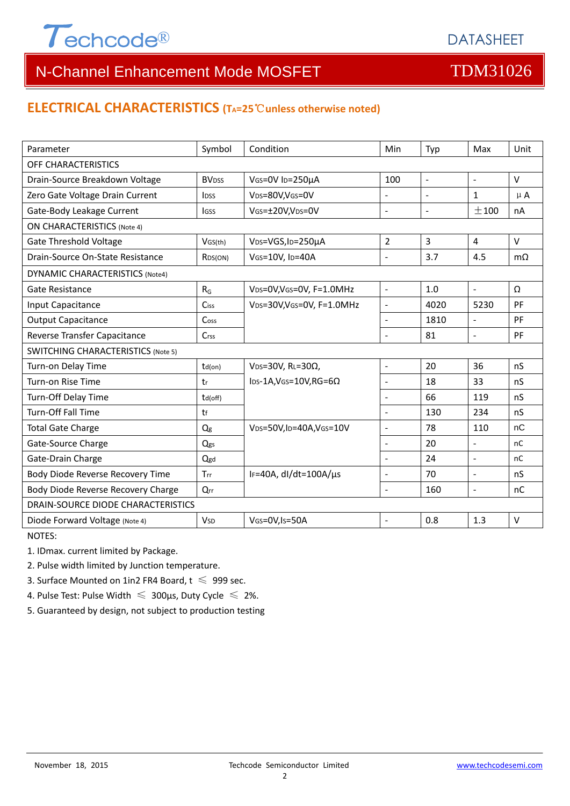

## **ELECTRICAL CHARACTERISTICS (TA=25**℃**unless otherwise noted)**

| Parameter                                 | Symbol                   | Condition                                | Min                      | Typ            | Max                      | Unit      |  |  |  |
|-------------------------------------------|--------------------------|------------------------------------------|--------------------------|----------------|--------------------------|-----------|--|--|--|
| OFF CHARACTERISTICS                       |                          |                                          |                          |                |                          |           |  |  |  |
| Drain-Source Breakdown Voltage            | <b>BV</b> <sub>DSS</sub> | VGS=0V ID=250µA<br>100<br>$\blacksquare$ |                          |                | $\blacksquare$           | $\vee$    |  |  |  |
| Zero Gate Voltage Drain Current           | <b>l</b> <sub>DSS</sub>  | VDS=80V, VGS=0V                          | $\overline{a}$           |                | $\mathbf{1}$             | $\mu$ A   |  |  |  |
| Gate-Body Leakage Current                 | lgss                     | VGS=±20V,VDS=0V                          | $\overline{a}$           | $\sim$         | ±100                     | nA        |  |  |  |
| <b>ON CHARACTERISTICS (Note 4)</b>        |                          |                                          |                          |                |                          |           |  |  |  |
| <b>Gate Threshold Voltage</b>             | VGS(th)                  | VDS=VGS, ID=250µA                        | $\overline{2}$           | $\overline{3}$ | $\overline{4}$           | V         |  |  |  |
| Drain-Source On-State Resistance          | R <sub>DS</sub> (ON)     | VGS=10V, ID=40A                          | $\overline{a}$           | 3.7            | 4.5                      | $m\Omega$ |  |  |  |
| <b>DYNAMIC CHARACTERISTICS (Note4)</b>    |                          |                                          |                          |                |                          |           |  |  |  |
| Gate Resistance                           | $R_G$                    | VDS=0V, VGS=0V, F=1.0MHz                 | $\blacksquare$           | 1.0            | $\blacksquare$           | Ω         |  |  |  |
| Input Capacitance                         | Ciss                     | VDS=30V, VGS=0V, F=1.0MHz                | $\overline{a}$           | 4020           | 5230                     | PF        |  |  |  |
| <b>Output Capacitance</b>                 | Coss                     |                                          | $\overline{\phantom{a}}$ | 1810           | $\overline{a}$           | PF        |  |  |  |
| Reverse Transfer Capacitance              | Crss                     |                                          | $\overline{\phantom{a}}$ | 81             | $\sim$                   | PF        |  |  |  |
| <b>SWITCHING CHARACTERISTICS (Note 5)</b> |                          |                                          |                          |                |                          |           |  |  |  |
| Turn-on Delay Time                        | $td($ on $)$             | V <sub>DS</sub> =30V, RL=30 $\Omega$ ,   | $\blacksquare$           | 20             | 36                       | nS        |  |  |  |
| Turn-on Rise Time                         | tr                       | $\text{los-1A,V}$ GS=10V,RG=6 $\Omega$   | $\overline{\phantom{a}}$ | 18             | 33                       | nS        |  |  |  |
| Turn-Off Delay Time                       | $td($ off $)$            |                                          | $\blacksquare$           | 66             | 119                      | nS        |  |  |  |
| Turn-Off Fall Time                        | tf                       |                                          | $\blacksquare$           | 130            | 234                      | nS        |  |  |  |
| <b>Total Gate Charge</b>                  | Q <sub>g</sub>           | VDS=50V,ID=40A,VGS=10V                   | $\frac{1}{2}$            | 78             | 110                      | nC        |  |  |  |
| Gate-Source Charge                        | Qgs                      |                                          | $\overline{a}$           | 20             | $\overline{\phantom{a}}$ | nC        |  |  |  |
| Gate-Drain Charge                         | Qgd                      |                                          | $\blacksquare$           | 24             | $\sim$                   | nC        |  |  |  |
| Body Diode Reverse Recovery Time          | Trr                      | IF=40A, dl/dt=100A/µs                    | $\overline{\phantom{a}}$ | 70             | $\blacksquare$           | nS        |  |  |  |
| Body Diode Reverse Recovery Charge        | Qrr                      |                                          | $\blacksquare$           | 160            | $\overline{\phantom{a}}$ | nC        |  |  |  |
| DRAIN-SOURCE DIODE CHARACTERISTICS        |                          |                                          |                          |                |                          |           |  |  |  |
| Diode Forward Voltage (Note 4)            | <b>V</b> sp              | VGS=0V,Is=50A                            | $\overline{a}$           | 0.8            | 1.3                      | $\vee$    |  |  |  |

NOTES:

1. IDmax. current limited by Package.

2. Pulse width limited by Junction temperature.

3. Surface Mounted on 1in2 FR4 Board,  $t \le 999$  sec.

4. Pulse Test: Pulse Width  $\leq 300$ μs, Duty Cycle  $\leq 2\%$ .

5. Guaranteed by design, not subject to production testing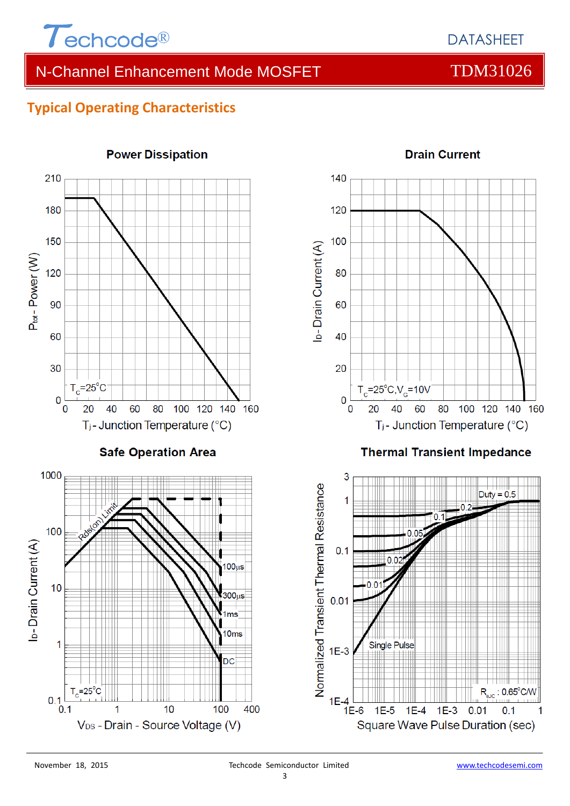

# **Typical Operating Characteristics**

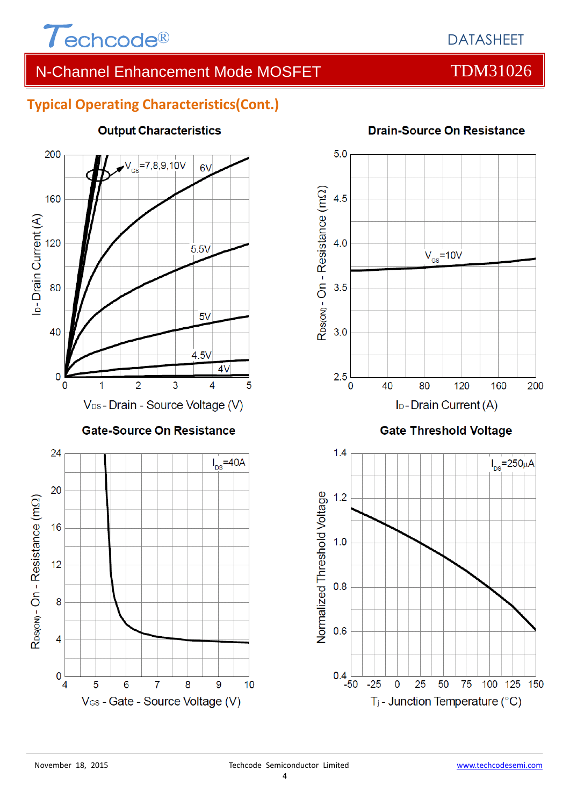

# **Typical Operating Characteristics(Cont.)**



## **Output Characteristics**



### **Drain-Source On Resistance**

 $0.4$ 

-50

 $-25$ 

 $\mathbf 0$ 

25

50

T<sub>j</sub> - Junction Temperature (°C)

75

100 125 150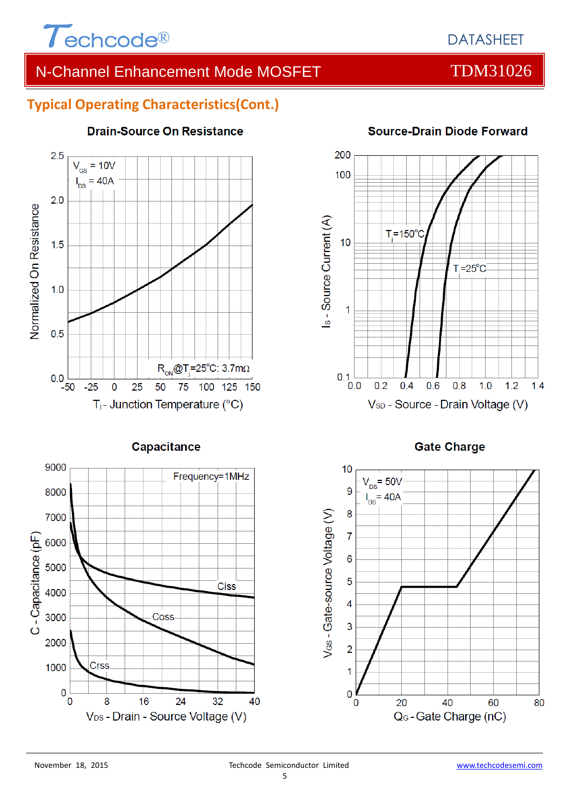

# DATASHEET

# N-Channel Enhancement Mode MOSFET TOM31026

## **Typical Operating Characteristics(Cont.)**



### **Drain-Source On Resistance**







### **Source-Drain Diode Forward**

**Gate Charge** 

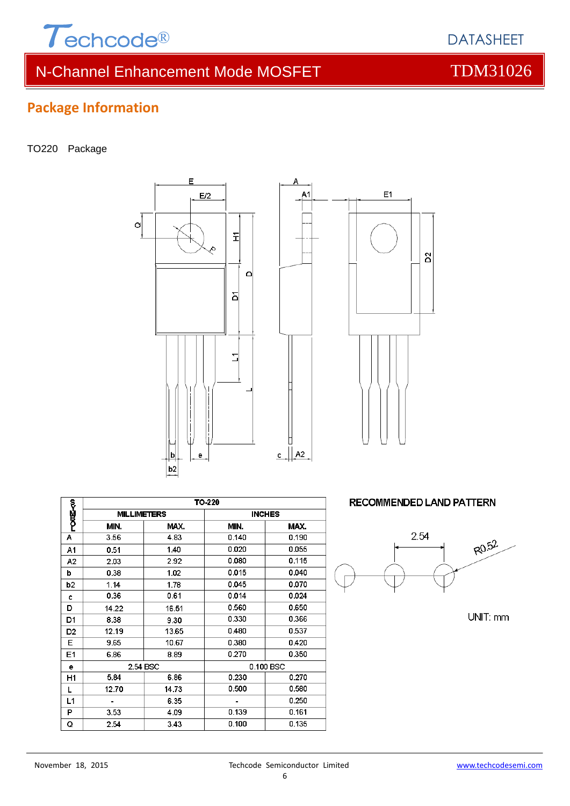

# **Package Information**

#### TO220 Package





Δ

|                | TO-220             |       |               |       |  |  |
|----------------|--------------------|-------|---------------|-------|--|--|
| <b>PODE-50</b> | <b>MILLIMETERS</b> |       | <b>INCHES</b> |       |  |  |
|                | MIN.               | MAX.  | MIN.          | MAX.  |  |  |
| А              | 3.56               | 4.83  | 0.140         | 0.190 |  |  |
| A1             | 0.51               | 1.40  | 0.020         | 0.055 |  |  |
| A2             | 2.03               | 2.92  | 0.080         | 0.115 |  |  |
| b              | 0.38               | 1.02  | 0.015         | 0.040 |  |  |
| b <sub>2</sub> | 1.14               | 1.78  | 0.045         | 0.070 |  |  |
| c              | 0.36               | 0.61  | 0.014         | 0.024 |  |  |
| D              | 14.22              | 16.51 | 0.560         | 0.650 |  |  |
| D1             | 8.38               | 9.30  | 0.330         | 0.366 |  |  |
| D <sub>2</sub> | 12.19              | 13.65 | 0.480         | 0.537 |  |  |
| Е              | 9.65               | 10.67 | 0.380         | 0.420 |  |  |
| E1             | 6.86               | 8.89  | 0.270         | 0.350 |  |  |
| е              | 2.54 BSC           |       | 0.100 BSC     |       |  |  |
| H1             | 5.84               | 6.86  | 0.230         | 0.270 |  |  |
| L              | 12.70              | 14.73 | 0.500         | 0.580 |  |  |
| L1             |                    | 6.35  |               | 0.250 |  |  |
| P              | 3.53               | 4.09  | 0.139         | 0.161 |  |  |
| Q              | 2.54               | 3.43  | 0.100         | 0.135 |  |  |

#### **RECOMMENDED LAND PATTERN**



UNIT: mm

DATASHEET